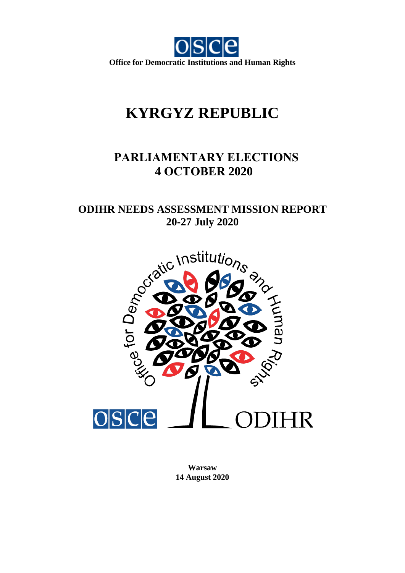

# **KYRGYZ REPUBLIC**

# **PARLIAMENTARY ELECTIONS 4 OCTOBER 2020**

# **ODIHR NEEDS ASSESSMENT MISSION REPORT**



**Warsaw 14 August 2020**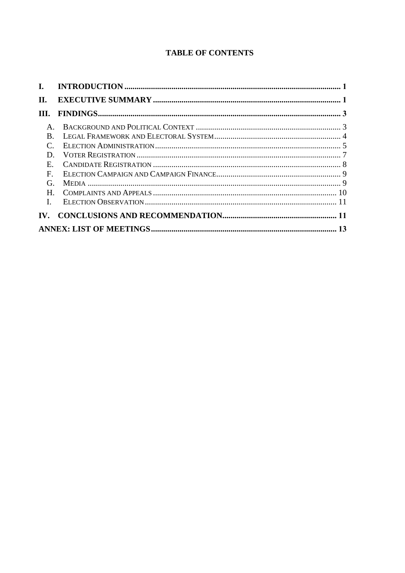# **TABLE OF CONTENTS**

| H.                |  |
|-------------------|--|
| III.              |  |
| $A_{\cdot}$       |  |
| $\bf{B}$          |  |
|                   |  |
| D.                |  |
| E.                |  |
| $\mathbf{F}$      |  |
| G.                |  |
| $H_{\cdot}$       |  |
| $\mathbf{L}$      |  |
| $\mathbf{IV}_{-}$ |  |
|                   |  |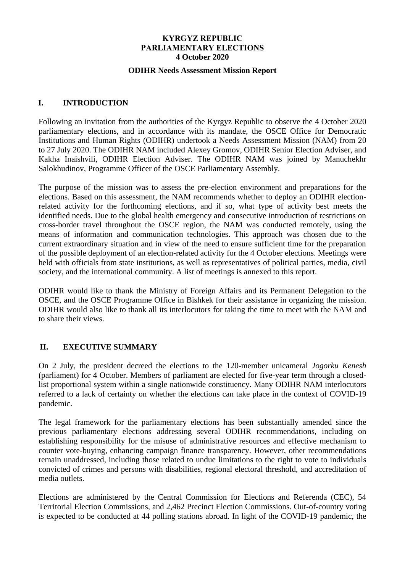# **KYRGYZ REPUBLIC PARLIAMENTARY ELECTIONS 4 October 2020**

# **ODIHR Needs Assessment Mission Report**

# <span id="page-2-0"></span>**I. INTRODUCTION**

Following an invitation from the authorities of the Kyrgyz Republic to observe the 4 October 2020 parliamentary elections, and in accordance with its mandate, the OSCE Office for Democratic Institutions and Human Rights (ODIHR) undertook a Needs Assessment Mission (NAM) from 20 to 27 July 2020. The ODIHR NAM included Alexey Gromov, ODIHR Senior Election Adviser, and Kakha Inaishvili, ODIHR Election Adviser. The ODIHR NAM was joined by Manuchekhr Salokhudinov, Programme Officer of the OSCE Parliamentary Assembly.

The purpose of the mission was to assess the pre-election environment and preparations for the elections. Based on this assessment, the NAM recommends whether to deploy an ODIHR electionrelated activity for the forthcoming elections, and if so, what type of activity best meets the identified needs. Due to the global health emergency and consecutive introduction of restrictions on cross-border travel throughout the OSCE region, the NAM was conducted remotely, using the means of information and communication technologies. This approach was chosen due to the current extraordinary situation and in view of the need to ensure sufficient time for the preparation of the possible deployment of an election-related activity for the 4 October elections. Meetings were held with officials from state institutions, as well as representatives of political parties, media, civil society, and the international community. A list of meetings is annexed to this report.

ODIHR would like to thank the Ministry of Foreign Affairs and its Permanent Delegation to the OSCE, and the OSCE Programme Office in Bishkek for their assistance in organizing the mission. ODIHR would also like to thank all its interlocutors for taking the time to meet with the NAM and to share their views.

# <span id="page-2-1"></span>**II. EXECUTIVE SUMMARY**

On 2 July, the president decreed the elections to the 120-member unicameral *Jogorku Kenesh* (parliament) for 4 October. Members of parliament are elected for five-year term through a closedlist proportional system within a single nationwide constituency. Many ODIHR NAM interlocutors referred to a lack of certainty on whether the elections can take place in the context of COVID-19 pandemic.

The legal framework for the parliamentary elections has been substantially amended since the previous parliamentary elections addressing several ODIHR recommendations, including on establishing responsibility for the misuse of administrative resources and effective mechanism to counter vote-buying, enhancing campaign finance transparency. However, other recommendations remain unaddressed, including those related to undue limitations to the right to vote to individuals convicted of crimes and persons with disabilities, regional electoral threshold, and accreditation of media outlets.

Elections are administered by the Central Commission for Elections and Referenda (CEC), 54 Territorial Election Commissions, and 2,462 Precinct Election Commissions. Out-of-country voting is expected to be conducted at 44 polling stations abroad. In light of the COVID-19 pandemic, the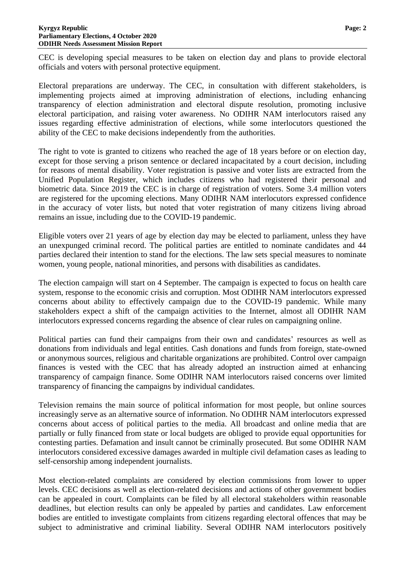CEC is developing special measures to be taken on election day and plans to provide electoral officials and voters with personal protective equipment.

Electoral preparations are underway. The CEC, in consultation with different stakeholders, is implementing projects aimed at improving administration of elections, including enhancing transparency of election administration and electoral dispute resolution, promoting inclusive electoral participation, and raising voter awareness. No ODIHR NAM interlocutors raised any issues regarding effective administration of elections, while some interlocutors questioned the ability of the CEC to make decisions independently from the authorities.

The right to vote is granted to citizens who reached the age of 18 years before or on election day, except for those serving a prison sentence or declared incapacitated by a court decision, including for reasons of mental disability. Voter registration is passive and voter lists are extracted from the Unified Population Register, which includes citizens who had registered their personal and biometric data. Since 2019 the CEC is in charge of registration of voters. Some 3.4 million voters are registered for the upcoming elections. Many ODIHR NAM interlocutors expressed confidence in the accuracy of voter lists, but noted that voter registration of many citizens living abroad remains an issue, including due to the COVID-19 pandemic.

Eligible voters over 21 years of age by election day may be elected to parliament, unless they have an unexpunged criminal record. The political parties are entitled to nominate candidates and 44 parties declared their intention to stand for the elections. The law sets special measures to nominate women, young people, national minorities, and persons with disabilities as candidates.

The election campaign will start on 4 September. The campaign is expected to focus on health care system, response to the economic crisis and corruption. Most ODIHR NAM interlocutors expressed concerns about ability to effectively campaign due to the COVID-19 pandemic. While many stakeholders expect a shift of the campaign activities to the Internet, almost all ODIHR NAM interlocutors expressed concerns regarding the absence of clear rules on campaigning online.

Political parties can fund their campaigns from their own and candidates' resources as well as donations from individuals and legal entities. Cash donations and funds from foreign, state-owned or anonymous sources, religious and charitable organizations are prohibited. Control over campaign finances is vested with the CEC that has already adopted an instruction aimed at enhancing transparency of campaign finance. Some ODIHR NAM interlocutors raised concerns over limited transparency of financing the campaigns by individual candidates.

Television remains the main source of political information for most people, but online sources increasingly serve as an alternative source of information. No ODIHR NAM interlocutors expressed concerns about access of political parties to the media. All broadcast and online media that are partially or fully financed from state or local budgets are obliged to provide equal opportunities for contesting parties. Defamation and insult cannot be criminally prosecuted. But some ODIHR NAM interlocutors considered excessive damages awarded in multiple civil defamation cases as leading to self-censorship among independent journalists.

Most election-related complaints are considered by election commissions from lower to upper levels. CEC decisions as well as election-related decisions and actions of other government bodies can be appealed in court. Complaints can be filed by all electoral stakeholders within reasonable deadlines, but election results can only be appealed by parties and candidates. Law enforcement bodies are entitled to investigate complaints from citizens regarding electoral offences that may be subject to administrative and criminal liability. Several ODIHR NAM interlocutors positively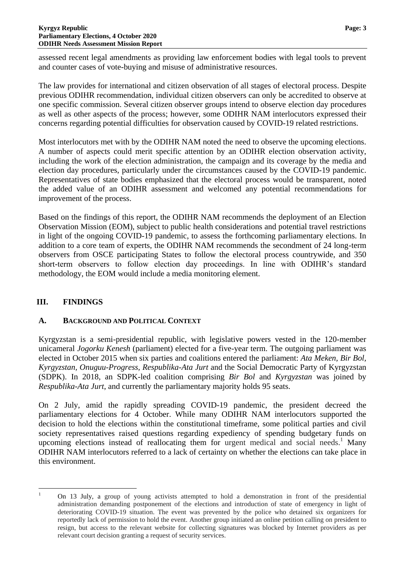assessed recent legal amendments as providing law enforcement bodies with legal tools to prevent and counter cases of vote-buying and misuse of administrative resources.

The law provides for international and citizen observation of all stages of electoral process. Despite previous ODIHR recommendation, individual citizen observers can only be accredited to observe at one specific commission. Several citizen observer groups intend to observe election day procedures as well as other aspects of the process; however, some ODIHR NAM interlocutors expressed their concerns regarding potential difficulties for observation caused by COVID-19 related restrictions.

Most interlocutors met with by the ODIHR NAM noted the need to observe the upcoming elections. A number of aspects could merit specific attention by an ODIHR election observation activity, including the work of the election administration, the campaign and its coverage by the media and election day procedures, particularly under the circumstances caused by the COVID-19 pandemic. Representatives of state bodies emphasized that the electoral process would be transparent, noted the added value of an ODIHR assessment and welcomed any potential recommendations for improvement of the process.

Based on the findings of this report, the ODIHR NAM recommends the deployment of an Election Observation Mission (EOM), subject to public health considerations and potential travel restrictions in light of the ongoing COVID-19 pandemic, to assess the forthcoming parliamentary elections. In addition to a core team of experts, the ODIHR NAM recommends the secondment of 24 long-term observers from OSCE participating States to follow the electoral process countrywide, and 350 short-term observers to follow election day proceedings. In line with ODIHR's standard methodology, the EOM would include a media monitoring element.

# <span id="page-4-0"></span>**III. FINDINGS**

# <span id="page-4-1"></span>**A. BACKGROUND AND POLITICAL CONTEXT**

Kyrgyzstan is a semi-presidential republic, with legislative powers vested in the 120-member unicameral *Jogorku Kenesh* (parliament) elected for a five-year term. The outgoing parliament was elected in October 2015 when six parties and coalitions entered the parliament: *Ata Meken, Bir Bol, Kyrgyzstan, Onuguu-Progress, Respublika-Ata Jurt* and the Social Democratic Party of Kyrgyzstan (SDPK). In 2018, an SDPK-led coalition comprising *Bir Bol* and *Kyrgyzstan* was joined by *Respublika-Ata Jurt*, and currently the parliamentary majority holds 95 seats.

On 2 July, amid the rapidly spreading COVID-19 pandemic, the president decreed the parliamentary elections for 4 October. While many ODIHR NAM interlocutors supported the decision to hold the elections within the constitutional timeframe, some political parties and civil society representatives raised questions regarding expediency of spending budgetary funds on upcoming elections instead of reallocating them for urgent medical and social needs.<sup>1</sup> Many ODIHR NAM interlocutors referred to a lack of certainty on whether the elections can take place in this environment.

 $\mathbf{1}$ <sup>1</sup> On 13 July, a group of young activists attempted to hold a demonstration in front of the presidential administration demanding postponement of the elections and introduction of state of emergency in light of deteriorating COVID-19 situation. The event was prevented by the police who detained six organizers for reportedly lack of permission to hold the event. Another group initiated an online petition calling on president to resign, but access to the relevant website for collecting signatures was blocked by Internet providers as per relevant court decision granting a request of security services.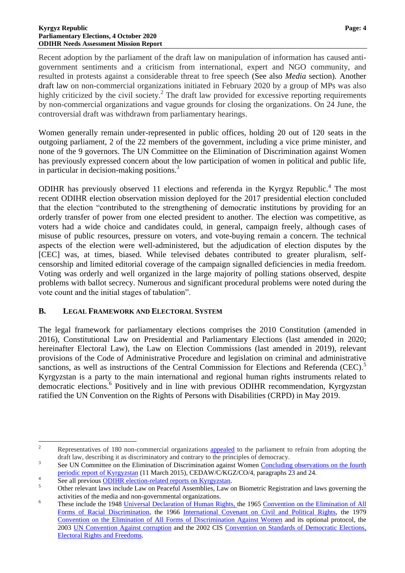Recent adoption by the parliament of the draft law on manipulation of information has caused antigovernment sentiments and a criticism from international, expert and NGO community, and resulted in protests against a considerable threat to free speech (See also *Media* section)*.* Another draft law on non-commercial organizations initiated in February 2020 by a group of MPs was also highly criticized by the civil society.<sup>2</sup> The draft law provided for excessive reporting requirements by non-commercial organizations and vague grounds for closing the organizations. On 24 June, the controversial draft was withdrawn from parliamentary hearings.

Women generally remain under-represented in public offices, holding 20 out of 120 seats in the outgoing parliament, 2 of the 22 members of the government, including a vice prime minister, and none of the 9 governors. The UN Committee on the Elimination of Discrimination against Women has previously expressed concern about the low participation of women in political and public life, in particular in decision-making positions. $3$ 

ODIHR has previously observed 11 elections and referenda in the Kyrgyz Republic.<sup>4</sup> The most recent ODIHR election observation mission deployed for the 2017 presidential election concluded that the election "contributed to the strengthening of democratic institutions by providing for an orderly transfer of power from one elected president to another. The election was competitive, as voters had a wide choice and candidates could, in general, campaign freely, although cases of misuse of public resources, pressure on voters, and vote-buying remain a concern. The technical aspects of the election were well-administered, but the adjudication of election disputes by the [CEC] was, at times, biased. While televised debates contributed to greater pluralism, selfcensorship and limited editorial coverage of the campaign signalled deficiencies in media freedom. Voting was orderly and well organized in the large majority of polling stations observed, despite problems with ballot secrecy. Numerous and significant procedural problems were noted during the vote count and the initial stages of tabulation".

# <span id="page-5-0"></span>**B. LEGAL FRAMEWORK AND ELECTORAL SYSTEM**

The legal framework for parliamentary elections comprises the 2010 Constitution (amended in 2016), Constitutional Law on Presidential and Parliamentary Elections (last amended in 2020; hereinafter Electoral Law), the Law on Election Commissions (last amended in 2019), relevant provisions of the Code of Administrative Procedure and legislation on criminal and administrative sanctions, as well as instructions of the Central Commission for Elections and Referenda (CEC).<sup>5</sup> Kyrgyzstan is a party to the main international and regional human rights instruments related to democratic elections.<sup>6</sup> Positively and in line with previous ODIHR recommendation, Kyrgyzstan ratified the UN Convention on the Rights of Persons with Disabilities (CRPD) in May 2019.

 $\overline{c}$ <sup>2</sup> Representatives of 180 non-commercial organizations [appealed](http://media.kg/news/obrashhenie-180-nko/) to the parliament to refrain from adopting the draft law, describing it as discriminatory and contrary to the principles of democracy.

<sup>3</sup> See UN Committee on the Elimination of Discrimination against Women [Concluding observations on the fourth](http://tbinternet.ohchr.org/_layouts/treatybodyexternal/Download.aspx?symbolno=CEDAW%2fC%2fKGZ%2fCO%2f4&Lang=en)  [periodic report of Kyrgyzstan](http://tbinternet.ohchr.org/_layouts/treatybodyexternal/Download.aspx?symbolno=CEDAW%2fC%2fKGZ%2fCO%2f4&Lang=en) (11 March 2015), CEDAW/C/KGZ/CO/4, paragraphs 23 and 24.

<sup>4</sup> See all previous [ODIHR election-related reports on Kyrgyzstan.](http://www.osce.org/odihr/elections/kyrgyzstan)

<sup>&</sup>lt;sup>5</sup> Other relevant laws include Law on Peaceful Assemblies, Law on Biometric Registration and laws governing the activities of the media and non-governmental organizations.

<sup>&</sup>lt;sup>6</sup> These include the 1948 [Universal Declaration of Human Rights,](https://www.un.org/en/universal-declaration-human-rights/) the 1965 Convention on the Elimination of All [Forms of Racial Discrimination,](https://www.ohchr.org/en/professionalinterest/pages/cerd.aspx) the 1966 [International Covenant on Civil and Political Rights,](https://www.ohchr.org/en/professionalinterest/pages/ccpr.aspx) the 1979 [Convention on the Elimination of All Forms of Discrimination Against Women](https://www.ohchr.org/en/professionalinterest/pages/cedaw.aspx) and its optional protocol, the 2003 [UN Convention Against corruption](https://www.unodc.org/unodc/en/corruption/uncac.html) and the 2002 CIS [Convention on Standards of Democratic Elections,](https://www.venice.coe.int/webforms/documents/default.aspx?pdffile=CDL-EL(2006)031rev-e)  [Electoral Rights and Freedoms.](https://www.venice.coe.int/webforms/documents/default.aspx?pdffile=CDL-EL(2006)031rev-e)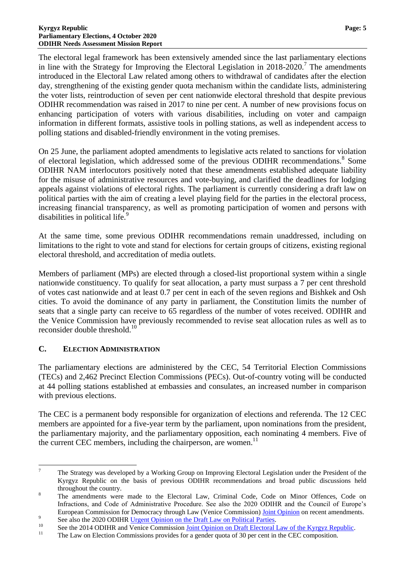The electoral legal framework has been extensively amended since the last parliamentary elections in line with the Strategy for Improving the Electoral Legislation in  $2018-2020$ .<sup>7</sup> The amendments introduced in the Electoral Law related among others to withdrawal of candidates after the election day, strengthening of the existing gender quota mechanism within the candidate lists, administering the voter lists, reintroduction of seven per cent nationwide electoral threshold that despite previous ODIHR recommendation was raised in 2017 to nine per cent. A number of new provisions focus on enhancing participation of voters with various disabilities, including on voter and campaign information in different formats, assistive tools in polling stations, as well as independent access to polling stations and disabled-friendly environment in the voting premises.

On 25 June, the parliament adopted amendments to legislative acts related to sanctions for violation of electoral legislation, which addressed some of the previous ODIHR recommendations.<sup>8</sup> Some ODIHR NAM interlocutors positively noted that these amendments established adequate liability for the misuse of administrative resources and vote-buying, and clarified the deadlines for lodging appeals against violations of electoral rights. The parliament is currently considering a draft law on political parties with the aim of creating a level playing field for the parties in the electoral process, increasing financial transparency, as well as promoting participation of women and persons with disabilities in political life.<sup>9</sup>

At the same time, some previous ODIHR recommendations remain unaddressed, including on limitations to the right to vote and stand for elections for certain groups of citizens, existing regional electoral threshold, and accreditation of media outlets.

Members of parliament (MPs) are elected through a closed-list proportional system within a single nationwide constituency. To qualify for seat allocation, a party must surpass a 7 per cent threshold of votes cast nationwide and at least 0.7 per cent in each of the seven regions and Bishkek and Osh cities. To avoid the dominance of any party in parliament, the Constitution limits the number of seats that a single party can receive to 65 regardless of the number of votes received. ODIHR and the Venice Commission have previously recommended to revise seat allocation rules as well as to reconsider double threshold.<sup>10</sup>

# <span id="page-6-0"></span>**C. ELECTION ADMINISTRATION**

 $\overline{a}$ 

The parliamentary elections are administered by the CEC, 54 Territorial Election Commissions (TECs) and 2,462 Precinct Election Commissions (PECs). Out-of-country voting will be conducted at 44 polling stations established at embassies and consulates, an increased number in comparison with previous elections.

The CEC is a permanent body responsible for organization of elections and referenda. The 12 CEC members are appointed for a five-year term by the parliament, upon nominations from the president, the parliamentary majority, and the parliamentary opposition, each nominating 4 members. Five of the current CEC members, including the chairperson, are women.<sup>11</sup>

<sup>&</sup>lt;sup>7</sup> The Strategy was developed by a Working Group on Improving Electoral Legislation under the President of the Kyrgyz Republic on the basis of previous ODIHR recommendations and broad public discussions held throughout the country.

<sup>&</sup>lt;sup>8</sup> The amendments were made to the Electoral Law, Criminal Code, Code on Minor Offences, Code on Infractions, and Code of Administrative Procedure. See also the 2020 ODIHR and the Council of Europe's European Commission for Democracy through Law (Venice Commission) [Joint Opinion](https://www.osce.org/files/f/documents/1/5/449089.pdf) on recent amendments. 9

See also the 2020 ODIHR Urgent Opinion [on the Draft Law on Political Parties.](https://www.legislationline.org/download/id/8705/file/376_POLIT_KGZ_13June2020_en.pdf)

<sup>10</sup> See the 2014 ODIHR and Venice Commission <u>Joint Opinion on Draft Electoral Law of the Kyrgyz Republic</u>.<br><sup>11</sup> The Law on Election Commissions provides for a sondar quote of 20 per gent in the CEC composition.

The Law on Election Commissions provides for a gender quota of 30 per cent in the CEC composition.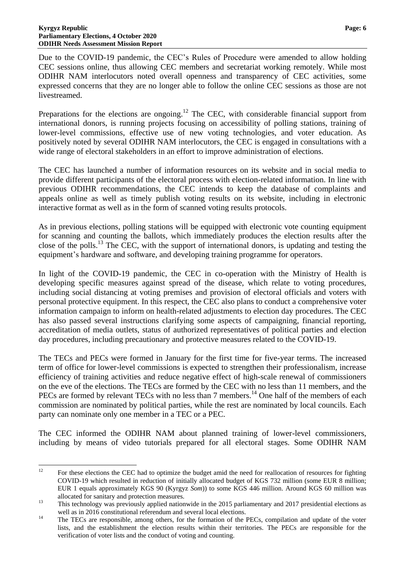Due to the COVID-19 pandemic, the CEC's Rules of Procedure were amended to allow holding CEC sessions online, thus allowing CEC members and secretariat working remotely. While most ODIHR NAM interlocutors noted overall openness and transparency of CEC activities, some expressed concerns that they are no longer able to follow the online CEC sessions as those are not livestreamed.

Preparations for the elections are ongoing.<sup>12</sup> The CEC, with considerable financial support from international donors, is running projects focusing on accessibility of polling stations, training of lower-level commissions, effective use of new voting technologies, and voter education. As positively noted by several ODIHR NAM interlocutors, the CEC is engaged in consultations with a wide range of electoral stakeholders in an effort to improve administration of elections.

The CEC has launched a number of information resources on its website and in social media to provide different participants of the electoral process with election-related information. In line with previous ODIHR recommendations, the CEC intends to keep the database of complaints and appeals online as well as timely publish voting results on its website, including in electronic interactive format as well as in the form of scanned voting results protocols.

As in previous elections, polling stations will be equipped with electronic vote counting equipment for scanning and counting the ballots, which immediately produces the election results after the close of the polls.<sup>13</sup> The CEC, with the support of international donors, is updating and testing the equipment's hardware and software, and developing training programme for operators.

In light of the COVID-19 pandemic, the CEC in co-operation with the Ministry of Health is developing specific measures against spread of the disease, which relate to voting procedures, including social distancing at voting premises and provision of electoral officials and voters with personal protective equipment. In this respect, the CEC also plans to conduct a comprehensive voter information campaign to inform on health-related adjustments to election day procedures. The CEC has also passed several instructions clarifying some aspects of campaigning, financial reporting, accreditation of media outlets, status of authorized representatives of political parties and election day procedures, including precautionary and protective measures related to the COVID-19.

The TECs and PECs were formed in January for the first time for five-year terms. The increased term of office for lower-level commissions is expected to strengthen their professionalism, increase efficiency of training activities and reduce negative effect of high-scale renewal of commissioners on the eve of the elections. The TECs are formed by the CEC with no less than 11 members, and the PECs are formed by relevant TECs with no less than 7 members.<sup>14</sup> One half of the members of each commission are nominated by political parties, while the rest are nominated by local councils. Each party can nominate only one member in a TEC or a PEC.

The CEC informed the ODIHR NAM about planned training of lower-level commissioners, including by means of video tutorials prepared for all electoral stages. Some ODIHR NAM

 $12$ <sup>12</sup> For these elections the CEC had to optimize the budget amid the need for reallocation of resources for fighting COVID-19 which resulted in reduction of initially allocated budget of KGS 732 million (some EUR 8 million; EUR 1 equals approximately KGS 90 (Kyrgyz *Som*)) to some KGS 446 million. Around KGS 60 million was allocated for sanitary and protection measures.

<sup>&</sup>lt;sup>13</sup> This technology was previously applied nationwide in the 2015 parliamentary and 2017 presidential elections as well as in 2016 constitutional referendum and several local elections.

<sup>&</sup>lt;sup>14</sup> The TECs are responsible, among others, for the formation of the PECs, compilation and update of the voter lists, and the establishment the election results within their territories. The PECs are responsible for the verification of voter lists and the conduct of voting and counting.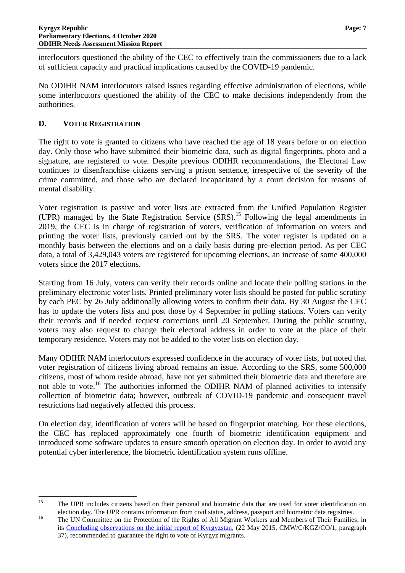interlocutors questioned the ability of the CEC to effectively train the commissioners due to a lack of sufficient capacity and practical implications caused by the COVID-19 pandemic.

No ODIHR NAM interlocutors raised issues regarding effective administration of elections, while some interlocutors questioned the ability of the CEC to make decisions independently from the authorities.

# <span id="page-8-0"></span>**D. VOTER REGISTRATION**

The right to vote is granted to citizens who have reached the age of 18 years before or on election day. Only those who have submitted their biometric data, such as digital fingerprints, photo and a signature, are registered to vote. Despite previous ODIHR recommendations, the Electoral Law continues to disenfranchise citizens serving a prison sentence, irrespective of the severity of the crime committed, and those who are declared incapacitated by a court decision for reasons of mental disability.

Voter registration is passive and voter lists are extracted from the Unified Population Register (UPR) managed by the State Registration Service  $(SRS)$ .<sup>15</sup> Following the legal amendments in 2019, the CEC is in charge of registration of voters, verification of information on voters and printing the voter lists, previously carried out by the SRS. The voter register is updated on a monthly basis between the elections and on a daily basis during pre-election period. As per CEC data, a total of 3,429,043 voters are registered for upcoming elections, an increase of some 400,000 voters since the 2017 elections.

Starting from 16 July, voters can verify their records online and locate their polling stations in the preliminary electronic voter lists. Printed preliminary voter lists should be posted for public scrutiny by each PEC by 26 July additionally allowing voters to confirm their data. By 30 August the CEC has to update the voters lists and post those by 4 September in polling stations. Voters can verify their records and if needed request corrections until 20 September. During the public scrutiny, voters may also request to change their electoral address in order to vote at the place of their temporary residence. Voters may not be added to the voter lists on election day.

Many ODIHR NAM interlocutors expressed confidence in the accuracy of voter lists, but noted that voter registration of citizens living abroad remains an issue. According to the SRS, some 500,000 citizens, most of whom reside abroad, have not yet submitted their biometric data and therefore are not able to vote.<sup>16</sup> The authorities informed the ODIHR NAM of planned activities to intensify collection of biometric data; however, outbreak of COVID-19 pandemic and consequent travel restrictions had negatively affected this process.

On election day, identification of voters will be based on fingerprint matching. For these elections, the CEC has replaced approximately one fourth of biometric identification equipment and introduced some software updates to ensure smooth operation on election day. In order to avoid any potential cyber interference, the biometric identification system runs offline.

 $15$ <sup>15</sup> The UPR includes citizens based on their personal and biometric data that are used for voter identification on election day. The UPR contains information from civil status, address, passport and biometric data registries.

<sup>&</sup>lt;sup>16</sup> The UN Committee on the Protection of the Rights of All Migrant Workers and Members of Their Families, in its [Concluding observations on the initial report of Kyrgyzstan,](https://tbinternet.ohchr.org/_layouts/15/treatybodyexternal/Download.aspx?symbolno=CMW/C/KGZ/CO/1&Lang=En) (22 May 2015, CMW/C/KGZ/CO/1, paragraph 37), recommended to guarantee the right to vote of Kyrgyz migrants.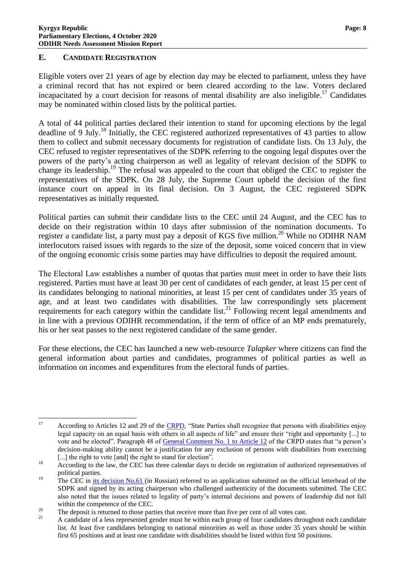# <span id="page-9-0"></span>**E. CANDIDATE REGISTRATION**

Eligible voters over 21 years of age by election day may be elected to parliament, unless they have a criminal record that has not expired or been cleared according to the law. Voters declared incapacitated by a court decision for reasons of mental disability are also ineligible.<sup>17</sup> Candidates may be nominated within closed lists by the political parties.

A total of 44 political parties declared their intention to stand for upcoming elections by the legal deadline of 9 July.<sup>18</sup> Initially, the CEC registered authorized representatives of 43 parties to allow them to collect and submit necessary documents for registration of candidate lists. On 13 July, the CEC refused to register representatives of the SDPK referring to the ongoing legal disputes over the powers of the party's acting chairperson as well as legality of relevant decision of the SDPK to change its leadership.<sup>19</sup> The refusal was appealed to the court that obliged the CEC to register the representatives of the SDPK. On 28 July, the Supreme Court upheld the decision of the first instance court on appeal in its final decision. On 3 August, the CEC registered SDPK representatives as initially requested.

Political parties can submit their candidate lists to the CEC until 24 August, and the CEC has to decide on their registration within 10 days after submission of the nomination documents. To register a candidate list, a party must pay a deposit of KGS five million.<sup>20</sup> While no ODIHR NAM interlocutors raised issues with regards to the size of the deposit, some voiced concern that in view of the ongoing economic crisis some parties may have difficulties to deposit the required amount.

Тhe Electoral Law establishes a number of quotas that parties must meet in order to have their lists registered. Parties must have at least 30 per cent of candidates of each gender, at least 15 per cent of its candidates belonging to national minorities, at least 15 per cent of candidates under 35 years of age, and at least two candidates with disabilities. The law correspondingly sets placement requirements for each category within the candidate list.<sup>21</sup> Following recent legal amendments and in line with a previous ODIHR recommendation, if the term of office of an MP ends prematurely, his or her seat passes to the next registered candidate of the same gender.

For these elections, the CEC has launched a new web-resource *Talapker* where citizens can find the general information about parties and candidates, programmes of political parties as well as information on incomes and expenditures from the electoral funds of parties.

<sup>17</sup> According to Articles 12 and 29 of the [CRPD,](https://www.un.org/disabilities/documents/convention/convoptprot-e.pdf) "State Parties shall recognize that persons with disabilities enjoy legal capacity on an equal basis with others in all aspects of life" and ensure their "right and opportunity [...] to vote and be elected". Paragraph 48 of [General Comment No. 1 to Article 12](https://documents-dds-ny.un.org/doc/UNDOC/GEN/G14/031/20/PDF/G1403120.pdf?OpenElement) of the CRPD states that "a person's decision-making ability cannot be a justification for any exclusion of persons with disabilities from exercising [...] the right to vote [and] the right to stand for election".

<sup>&</sup>lt;sup>18</sup> According to the law, the CEC has three calendar days to decide on registration of authorized representatives of political parties.

<sup>&</sup>lt;sup>19</sup> The CEC in [its decision No.61](https://shailoo.gov.kg/ru/npacik/Resheniya_CIK_KRKR_BShKnyn_chechimderi/61/) (in Russian) referred to an application submitted on the official letterhead of the SDPK and signed by its acting chairperson who challenged authenticity of the documents submitted. The CEC also noted that the issues related to legality of party's internal decisions and powers of leadership did not fall within the competence of the CEC.

<sup>&</sup>lt;sup>20</sup> The deposit is returned to those parties that receive more than five per cent of all votes cast.

<sup>21</sup> A candidate of a less represented gender must be within each group of four candidates throughout each candidate list. At least five candidates belonging to national minorities as well as those under 35 years should be within first 65 positions and at least one candidate with disabilities should be listed within first 50 positions.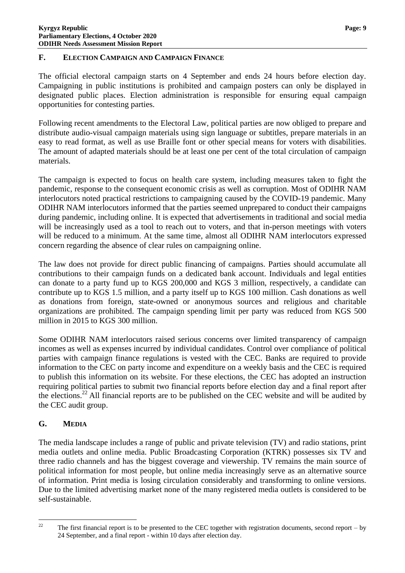# <span id="page-10-0"></span>**F. ELECTION CAMPAIGN AND CAMPAIGN FINANCE**

The official electoral campaign starts on 4 September and ends 24 hours before election day. Campaigning in public institutions is prohibited and campaign posters can only be displayed in designated public places. Election administration is responsible for ensuring equal campaign opportunities for contesting parties.

Following recent amendments to the Electoral Law, political parties are now obliged to prepare and distribute audio-visual campaign materials using sign language or subtitles, prepare materials in an easy to read format, as well as use Braille font or other special means for voters with disabilities. The amount of adapted materials should be at least one per cent of the total circulation of campaign materials.

The campaign is expected to focus on health care system, including measures taken to fight the pandemic, response to the consequent economic crisis as well as corruption. Most of ODIHR NAM interlocutors noted practical restrictions to campaigning caused by the COVID-19 pandemic. Many ODIHR NAM interlocutors informed that the parties seemed unprepared to conduct their campaigns during pandemic, including online. It is expected that advertisements in traditional and social media will be increasingly used as a tool to reach out to voters, and that in-person meetings with voters will be reduced to a minimum. At the same time, almost all ODIHR NAM interlocutors expressed concern regarding the absence of clear rules on campaigning online.

The law does not provide for direct public financing of campaigns. Parties should accumulate all contributions to their campaign funds on a dedicated bank account. Individuals and legal entities can donate to a party fund up to KGS 200,000 and KGS 3 million, respectively, a candidate can contribute up to KGS 1.5 million, and a party itself up to KGS 100 million. Cash donations as well as donations from foreign, state-owned or anonymous sources and religious and charitable organizations are prohibited. The campaign spending limit per party was reduced from KGS 500 million in 2015 to KGS 300 million.

Some ODIHR NAM interlocutors raised serious concerns over limited transparency of campaign incomes as well as expenses incurred by individual candidates. Control over compliance of political parties with campaign finance regulations is vested with the CEC. Banks are required to provide information to the CEC on party income and expenditure on a weekly basis and the CEC is required to publish this information on its website. For these elections, the CEC has adopted an instruction requiring political parties to submit two financial reports before election day and a final report after the elections.<sup>22</sup> All financial reports are to be published on the CEC website and will be audited by the CEC audit group.

# <span id="page-10-1"></span>**G. MEDIA**

The media landscape includes a range of public and private television (TV) and radio stations, print media outlets and online media. Public Broadcasting Corporation (KTRK) possesses six TV and three radio channels and has the biggest coverage and viewership. TV remains the main source of political information for most people, but online media increasingly serve as an alternative source of information. Print media is losing circulation considerably and transforming to online versions. Due to the limited advertising market none of the many registered media outlets is considered to be self-sustainable.

 $22$ <sup>22</sup> The first financial report is to be presented to the CEC together with registration documents, second report – by 24 September, and a final report - within 10 days after election day.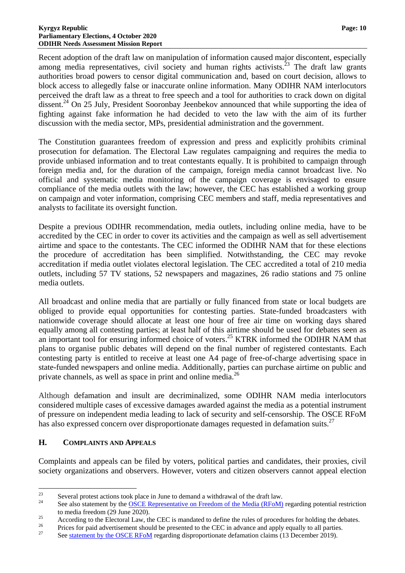Recent adoption of the draft law on manipulation of information caused major discontent, especially among media representatives, civil society and human rights activists.<sup>23</sup> The draft law grants authorities broad powers to censor digital communication and, based on court decision, allows to block access to allegedly false or inaccurate online information. Many ODIHR NAM interlocutors perceived the draft law as a threat to free speech and a tool for authorities to crack down on digital dissent.<sup>24</sup> On 25 July, President Sooronbay Jeenbekov announced that while supporting the idea of fighting against fake information he had decided to veto the law with the aim of its further discussion with the media sector, MPs, presidential administration and the government.

The Constitution guarantees freedom of expression and press and explicitly prohibits criminal prosecution for defamation. The Electoral Law regulates campaigning and requires the media to provide unbiased information and to treat contestants equally. It is prohibited to campaign through foreign media and, for the duration of the campaign, foreign media cannot broadcast live. No official and systematic media monitoring of the campaign coverage is envisaged to ensure compliance of the media outlets with the law; however, the CEC has established a working group on campaign and voter information, comprising CEC members and staff, media representatives and analysts to facilitate its oversight function.

Despite a previous ODIHR recommendation, media outlets, including online media, have to be accredited by the CEC in order to cover its activities and the campaign as well as sell advertisement airtime and space to the contestants. The CEC informed the ODIHR NAM that for these elections the procedure of accreditation has been simplified. Notwithstanding, the CEC may revoke accreditation if media outlet violates electoral legislation. The CEC accredited a total of 210 media outlets, including 57 TV stations, 52 newspapers and magazines, 26 radio stations and 75 online media outlets.

All broadcast and online media that are partially or fully financed from state or local budgets are obliged to provide equal opportunities for contesting parties. State-funded broadcasters with nationwide coverage should allocate at least one hour of free air time on working days shared equally among all contesting parties; at least half of this airtime should be used for debates seen as an important tool for ensuring informed choice of voters.<sup>25</sup> KTRK informed the ODIHR NAM that plans to organise public debates will depend on the final number of registered contestants. Each contesting party is entitled to receive at least one A4 page of free-of-charge advertising space in state-funded newspapers and online media. Additionally, parties can purchase airtime on public and private channels, as well as space in print and online media.<sup>26</sup>

Although defamation and insult are decriminalized, some ODIHR NAM media interlocutors considered multiple cases of excessive damages awarded against the media as a potential instrument of pressure on independent media leading to lack of security and self-censorship. The OSCE RFoM has also expressed concern over disproportionate damages requested in defamation suits.<sup>27</sup>

# <span id="page-11-0"></span>**H. COMPLAINTS AND APPEALS**

Complaints and appeals can be filed by voters, political parties and candidates, their proxies, civil society organizations and observers. However, voters and citizen observers cannot appeal election

<sup>23</sup> <sup>23</sup> Several protest actions took place in June to demand a withdrawal of the draft law.

See also statement by the **[OSCE Representative on Freedom of the Media \(RFoM\)](https://www.osce.org/representative-on-freedom-of-media/455836)** regarding potential restriction to media freedom (29 June 2020).

 $25$  According to the Electoral Law, the CEC is mandated to define the rules of procedures for holding the debates.

<sup>&</sup>lt;sup>26</sup> Prices for paid advertisement should be presented to the CEC in advance and apply equally to all parties.<br><sup>27</sup> See statement by the OSCE REeM recording dispresentionate defension eleme (12 December 2010).

Se[e statement by the OSCE RFoM](https://www.osce.org/representative-on-freedom-of-media/442180) regarding disproportionate defamation claims (13 December 2019).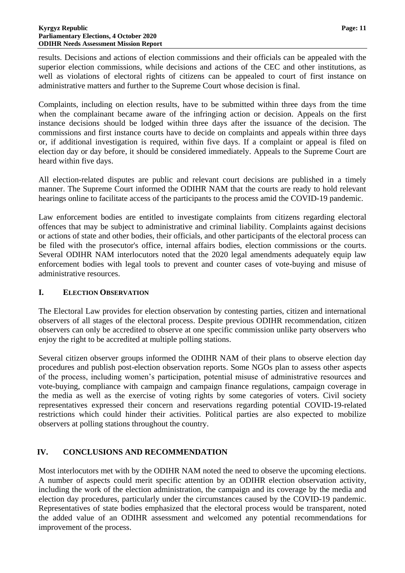results. Decisions and actions of election commissions and their officials can be appealed with the superior election commissions, while decisions and actions of the CEC and other institutions, as well as violations of electoral rights of citizens can be appealed to court of first instance on administrative matters and further to the Supreme Court whose decision is final.

Complaints, including on election results, have to be submitted within three days from the time when the complainant became aware of the infringing action or decision. Appeals on the first instance decisions should be lodged within three days after the issuance of the decision. The commissions and first instance courts have to decide on complaints and appeals within three days or, if additional investigation is required, within five days. If a complaint or appeal is filed on election day or day before, it should be considered immediately. Appeals to the Supreme Court are heard within five days.

All election-related disputes are public and relevant court decisions are published in a timely manner. The Supreme Court informed the ODIHR NAM that the courts are ready to hold relevant hearings online to facilitate access of the participants to the process amid the COVID-19 pandemic.

Law enforcement bodies are entitled to investigate complaints from citizens regarding electoral offences that may be subject to administrative and criminal liability. Complaints against decisions or actions of state and other bodies, their officials, and other participants of the electoral process can be filed with the prosecutor's office, internal affairs bodies, election commissions or the courts. Several ODIHR NAM interlocutors noted that the 2020 legal amendments adequately equip law enforcement bodies with legal tools to prevent and counter cases of vote-buying and misuse of administrative resources.

# <span id="page-12-0"></span>**I. ELECTION OBSERVATION**

The Electoral Law provides for election observation by contesting parties, citizen and international observers of all stages of the electoral process. Despite previous ODIHR recommendation, citizen observers can only be accredited to observe at one specific commission unlike party observers who enjoy the right to be accredited at multiple polling stations.

Several citizen observer groups informed the ODIHR NAM of their plans to observe election day procedures and publish post-election observation reports. Some NGOs plan to assess other aspects of the process, including women's participation, potential misuse of administrative resources and vote-buying, compliance with campaign and campaign finance regulations, campaign coverage in the media as well as the exercise of voting rights by some categories of voters. Civil society representatives expressed their concern and reservations regarding potential COVID-19-related restrictions which could hinder their activities. Political parties are also expected to mobilize observers at polling stations throughout the country.

# <span id="page-12-1"></span>**IV. CONCLUSIONS AND RECOMMENDATION**

Most interlocutors met with by the ODIHR NAM noted the need to observe the upcoming elections. A number of aspects could merit specific attention by an ODIHR election observation activity, including the work of the election administration, the campaign and its coverage by the media and election day procedures, particularly under the circumstances caused by the COVID-19 pandemic. Representatives of state bodies emphasized that the electoral process would be transparent, noted the added value of an ODIHR assessment and welcomed any potential recommendations for improvement of the process.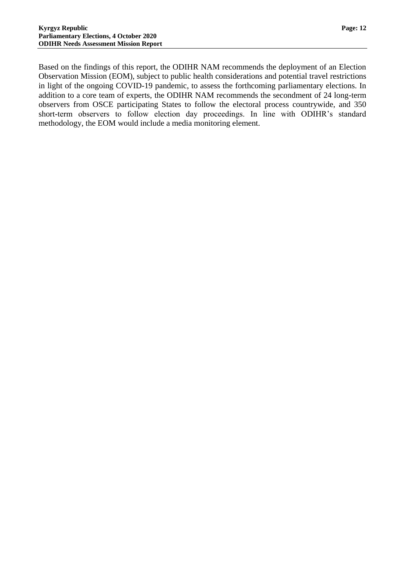Based on the findings of this report, the ODIHR NAM recommends the deployment of an Election Observation Mission (EOM), subject to public health considerations and potential travel restrictions in light of the ongoing COVID-19 pandemic, to assess the forthcoming parliamentary elections. In addition to a core team of experts, the ODIHR NAM recommends the secondment of 24 long-term observers from OSCE participating States to follow the electoral process countrywide, and 350 short-term observers to follow election day proceedings. In line with ODIHR's standard methodology, the EOM would include a media monitoring element.